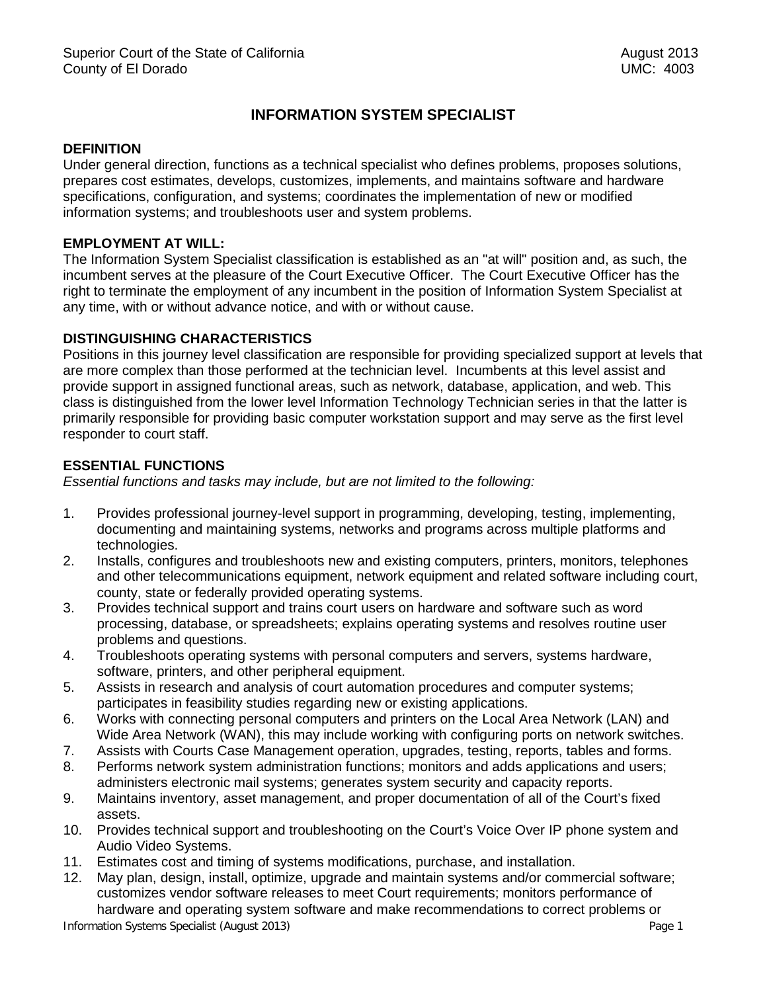# **INFORMATION SYSTEM SPECIALIST**

#### **DEFINITION**

Under general direction, functions as a technical specialist who defines problems, proposes solutions, prepares cost estimates, develops, customizes, implements, and maintains software and hardware specifications, configuration, and systems; coordinates the implementation of new or modified information systems; and troubleshoots user and system problems.

## **EMPLOYMENT AT WILL:**

The Information System Specialist classification is established as an "at will" position and, as such, the incumbent serves at the pleasure of the Court Executive Officer. The Court Executive Officer has the right to terminate the employment of any incumbent in the position of Information System Specialist at any time, with or without advance notice, and with or without cause.

#### **DISTINGUISHING CHARACTERISTICS**

Positions in this journey level classification are responsible for providing specialized support at levels that are more complex than those performed at the technician level. Incumbents at this level assist and provide support in assigned functional areas, such as network, database, application, and web. This class is distinguished from the lower level Information Technology Technician series in that the latter is primarily responsible for providing basic computer workstation support and may serve as the first level responder to court staff.

## **ESSENTIAL FUNCTIONS**

*Essential functions and tasks may include, but are not limited to the following:*

- 1. Provides professional journey-level support in programming, developing, testing, implementing, documenting and maintaining systems, networks and programs across multiple platforms and technologies.
- 2. Installs, configures and troubleshoots new and existing computers, printers, monitors, telephones and other telecommunications equipment, network equipment and related software including court, county, state or federally provided operating systems.
- 3. Provides technical support and trains court users on hardware and software such as word processing, database, or spreadsheets; explains operating systems and resolves routine user problems and questions.
- 4. Troubleshoots operating systems with personal computers and servers, systems hardware, software, printers, and other peripheral equipment.
- 5. Assists in research and analysis of court automation procedures and computer systems; participates in feasibility studies regarding new or existing applications.
- 6. Works with connecting personal computers and printers on the Local Area Network (LAN) and Wide Area Network (WAN), this may include working with configuring ports on network switches.
- 7. Assists with Courts Case Management operation, upgrades, testing, reports, tables and forms.
- 8. Performs network system administration functions; monitors and adds applications and users; administers electronic mail systems; generates system security and capacity reports.
- 9. Maintains inventory, asset management, and proper documentation of all of the Court's fixed assets.
- 10. Provides technical support and troubleshooting on the Court's Voice Over IP phone system and Audio Video Systems.
- 11. Estimates cost and timing of systems modifications, purchase, and installation.
- 12. May plan, design, install, optimize, upgrade and maintain systems and/or commercial software; customizes vendor software releases to meet Court requirements; monitors performance of hardware and operating system software and make recommendations to correct problems or

Information Systems Specialist (August 2013) Page 1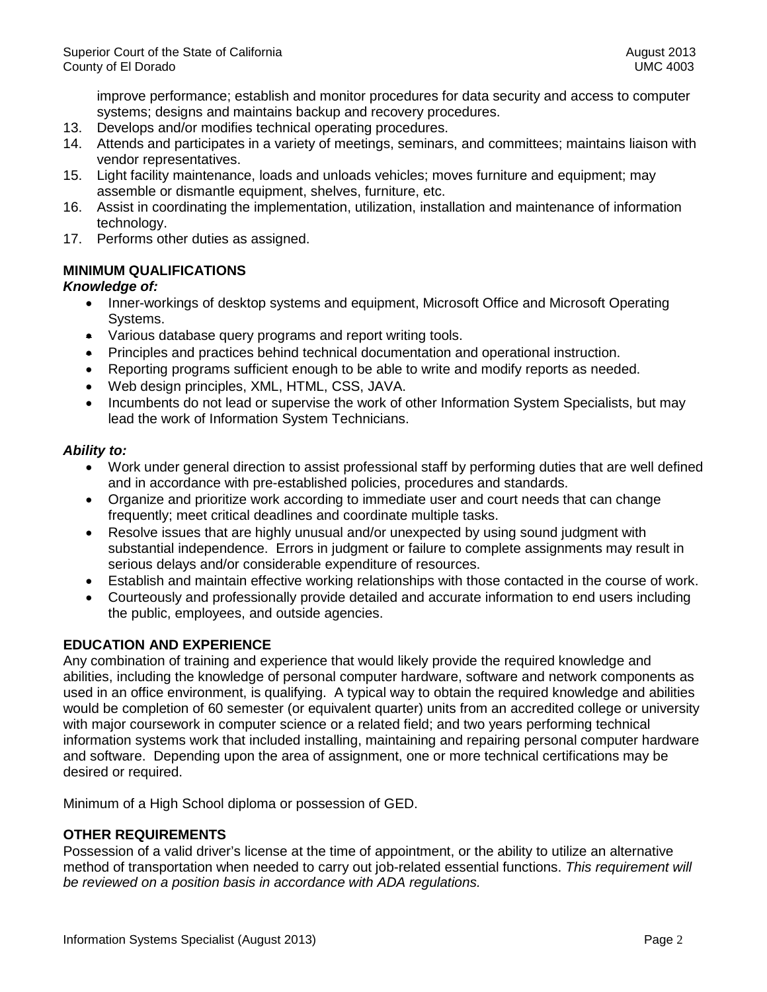improve performance; establish and monitor procedures for data security and access to computer systems; designs and maintains backup and recovery procedures.

- 13. Develops and/or modifies technical operating procedures.
- 14. Attends and participates in a variety of meetings, seminars, and committees; maintains liaison with vendor representatives.
- 15. Light facility maintenance, loads and unloads vehicles; moves furniture and equipment; may assemble or dismantle equipment, shelves, furniture, etc.
- 16. Assist in coordinating the implementation, utilization, installation and maintenance of information technology.
- 17. Performs other duties as assigned.

## **MINIMUM QUALIFICATIONS**

## *Knowledge of:*

- Inner-workings of desktop systems and equipment, Microsoft Office and Microsoft Operating Systems.
- Various database query programs and report writing tools.
- Principles and practices behind technical documentation and operational instruction.
- Reporting programs sufficient enough to be able to write and modify reports as needed.
- Web design principles, XML, HTML, CSS, JAVA.
- Incumbents do not lead or supervise the work of other Information System Specialists, but may lead the work of Information System Technicians.

## *Ability to:*

- Work under general direction to assist professional staff by performing duties that are well defined and in accordance with pre-established policies, procedures and standards.
- Organize and prioritize work according to immediate user and court needs that can change frequently; meet critical deadlines and coordinate multiple tasks.
- Resolve issues that are highly unusual and/or unexpected by using sound judgment with substantial independence. Errors in judgment or failure to complete assignments may result in serious delays and/or considerable expenditure of resources.
- Establish and maintain effective working relationships with those contacted in the course of work.
- Courteously and professionally provide detailed and accurate information to end users including the public, employees, and outside agencies.

## **EDUCATION AND EXPERIENCE**

Any combination of training and experience that would likely provide the required knowledge and abilities, including the knowledge of personal computer hardware, software and network components as used in an office environment, is qualifying. A typical way to obtain the required knowledge and abilities would be completion of 60 semester (or equivalent quarter) units from an accredited college or university with major coursework in computer science or a related field; and two years performing technical information systems work that included installing, maintaining and repairing personal computer hardware and software. Depending upon the area of assignment, one or more technical certifications may be desired or required.

Minimum of a High School diploma or possession of GED.

## **OTHER REQUIREMENTS**

Possession of a valid driver's license at the time of appointment, or the ability to utilize an alternative method of transportation when needed to carry out job-related essential functions. *This requirement will be reviewed on a position basis in accordance with ADA regulations.*